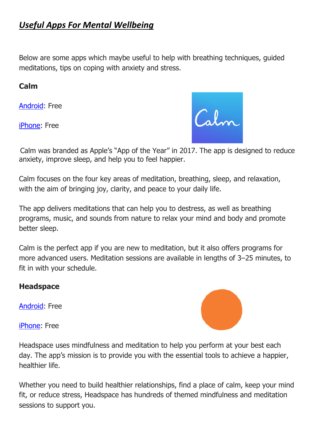# *Useful Apps For Mental Wellbeing*

Below are some apps which maybe useful to help with breathing techniques, guided meditations, tips on coping with anxiety and stress.

#### **Calm**

[Android:](https://play.google.com/store/apps/details?id=com.calm.android) Free

[iPhone:](https://itunes.apple.com/us/app/calm/id571800810) Free



Calm was branded as Apple's "App of the Year" in 2017. The app is designed to reduce anxiety, improve sleep, and help you to feel happier.

Calm focuses on the four key areas of meditation, breathing, sleep, and relaxation, with the aim of bringing joy, clarity, and peace to your daily life.

The app delivers meditations that can help you to destress, as well as breathing programs, music, and sounds from nature to relax your mind and body and promote better sleep.

Calm is the perfect app if you are new to meditation, but it also offers programs for more advanced users. Meditation sessions are available in lengths of 3–25 minutes, to fit in with your schedule.

### **Headspace**

[Android:](https://play.google.com/store/apps/details?id=com.getsomeheadspace.android) Free



[iPhone:](https://itunes.apple.com/us/app/headspace.com-meditation-mindfulness/id493145008) Free

Headspace uses mindfulness and meditation to help you perform at your best each day. The app's mission is to provide you with the essential tools to achieve a happier, healthier life.

Whether you need to build healthier relationships, find a place of calm, keep your mind fit, or reduce stress, Headspace has hundreds of themed mindfulness and meditation sessions to support you.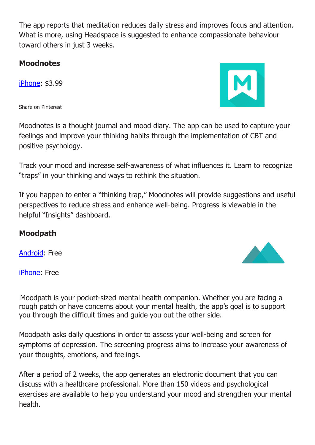The app reports that meditation reduces daily stress and improves focus and attention. What is more, using Headspace is suggested to enhance compassionate behaviour toward others in just 3 weeks.

#### **Moodnotes**

[iPhone:](https://itunes.apple.com/us/app/moodnotes-thought-journal-mood-diary/id1019230398) \$3.99

Share on Pinterest

Moodnotes is a thought journal and mood diary. The app can be used to capture your feelings and improve your thinking habits through the implementation of CBT and positive psychology.

Track your mood and increase self-awareness of what influences it. Learn to recognize "traps" in your thinking and ways to rethink the situation.

If you happen to enter a "thinking trap," Moodnotes will provide suggestions and useful perspectives to reduce stress and enhance well-being. Progress is viewable in the helpful "Insights" dashboard.

### **Moodpath**

[Android:](https://play.google.com/store/apps/details?id=de.moodpath.android) Free

[iPhone:](https://itunes.apple.com/us/app/moodpath-depression-anxiety/id1052216403) Free

Moodpath is your pocket-sized mental health companion. Whether you are facing a rough patch or have concerns about your mental health, the app's goal is to support you through the difficult times and guide you out the other side.

Moodpath asks daily questions in order to assess your well-being and screen for symptoms of depression. The screening progress aims to increase your awareness of your thoughts, emotions, and feelings.

After a period of 2 weeks, the app generates an electronic document that you can discuss with a healthcare professional. More than 150 videos and psychological exercises are available to help you understand your mood and strengthen your mental health.



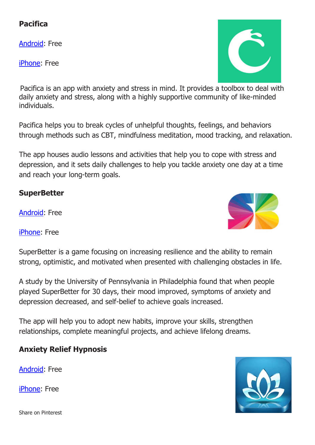## **Pacifica**

[Android:](https://play.google.com/store/apps/details?id=com.pacificalabs.pacifica) Free

[iPhone:](https://itunes.apple.com/us/app/pacifica-for-stress-anxiety/id922968861) Free

Pacifica is an app with anxiety and stress in mind. It provides a toolbox to deal with daily anxiety and stress, along with a highly supportive community of like-minded individuals.

Pacifica helps you to break cycles of unhelpful thoughts, feelings, and behaviors through methods such as CBT, mindfulness meditation, mood tracking, and relaxation.

The app houses audio lessons and activities that help you to cope with stress and depression, and it sets daily challenges to help you tackle anxiety one day at a time and reach your long-term goals.

### **SuperBetter**

[Android:](https://play.google.com/store/apps/details?id=com.superbetter.paid) Free

[iPhone:](https://itunes.apple.com/us/app/superbetter/id536634968) Free

SuperBetter is a game focusing on increasing resilience and the ability to remain strong, optimistic, and motivated when presented with challenging obstacles in life.

A study by the University of Pennsylvania in Philadelphia found that when people played SuperBetter for 30 days, their mood improved, symptoms of anxiety and depression decreased, and self-belief to achieve goals increased.

The app will help you to adopt new habits, improve your skills, strengthen relationships, complete meaningful projects, and achieve lifelong dreams.

## **Anxiety Relief Hypnosis**

[Android:](https://play.google.com/store/apps/details?id=com.surfcityapps.endanxiety) Free

[iPhone:](https://itunes.apple.com/us/app/anxiety-relief-hypnosis/id720652195) Free

Share on Pinterest